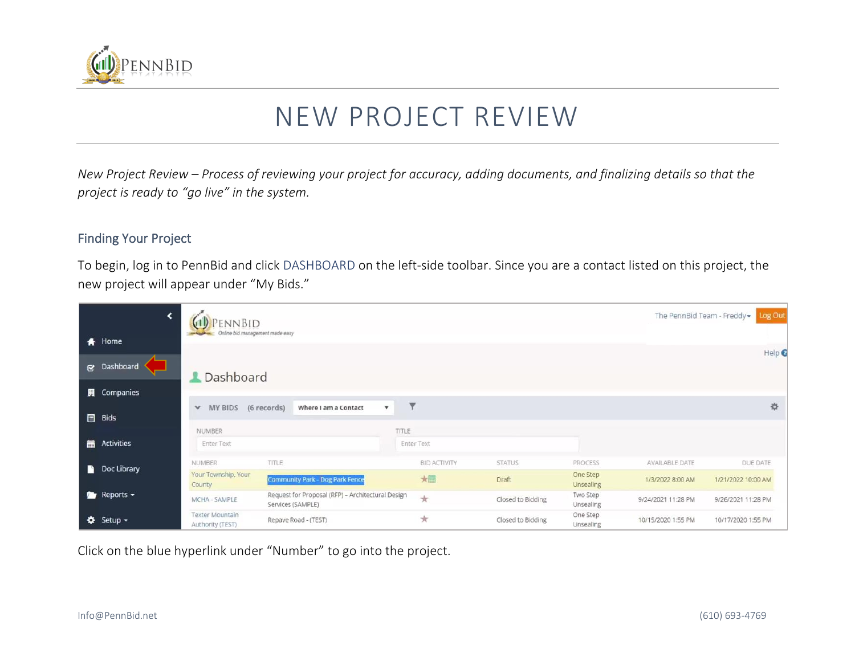

# NEW PROJECT REVIEW

*New Project Review – Process of reviewing your project for accuracy, adding documents, and finalizing details so that the project is ready to "go live" in the system.*

#### Finding Your Project

To begin, log in to PennBid and click DASHBOARD on the left-side toolbar. Since you are a contact listed on this project, the new project will appear under "My Bids."

| ∢                         | 'ennBid<br>Online bid management made easy |                                                                        | The PennBid Team - Freddy - | Log Out             |                   |                       |                    |                              |  |
|---------------------------|--------------------------------------------|------------------------------------------------------------------------|-----------------------------|---------------------|-------------------|-----------------------|--------------------|------------------------------|--|
| <del>#</del> Home         |                                            |                                                                        |                             |                     |                   |                       |                    | Help <sup><sup>O</sup></sup> |  |
| cy Dashboard              | <b>L</b> Dashboard                         |                                                                        |                             |                     |                   |                       |                    |                              |  |
| <b>圓</b> Companies        |                                            |                                                                        |                             |                     |                   |                       |                    |                              |  |
| <b>Bids</b>               | MY BIDS<br>v                               | (6 records)<br>Where I am a Contact<br>$\pmb{\mathrm{v}}$              | ۷                           |                     |                   |                       |                    | 登                            |  |
|                           | <b>NUMBER</b>                              |                                                                        | TITLE                       |                     |                   |                       |                    |                              |  |
| Activities                | <b>Enter Text</b>                          |                                                                        | <b>Enter Text</b>           |                     |                   |                       |                    |                              |  |
| Doc Library               | <b>NUMBER</b>                              | TITLE                                                                  |                             | <b>BID ACTIVITY</b> | <b>STATUS</b>     | PROCESS               | AVAILABLE DATE     | DUE DATE                     |  |
|                           | Your Township, Your<br>County              | Community Park - Dog Park Fence                                        |                             | 大量                  | Draft             | One Step<br>Unsealing | 1/3/2022 8:00 AM   | 1/21/2022 10:00 AM           |  |
| $\sim$ Reports $\sim$     | MCHA - SAMPLE                              | Request for Proposal (RFP) - Architectural Design<br>Services (SAMPLE) |                             | $\star$             | Closed to Bidding | Two Step<br>Unsealing | 9/24/2021 11:28 PM | 9/26/2021 11:28 PM           |  |
| $\bullet$ Setup $\bullet$ | <b>Texter Mountain</b><br>Authority (TEST) | Repave Road - (TEST)                                                   |                             | $\star$             | Closed to Bidding | One Step<br>Unsealing | 10/15/2020 1:55 PM | 10/17/2020 1:55 PM           |  |

Click on the blue hyperlink under "Number" to go into the project.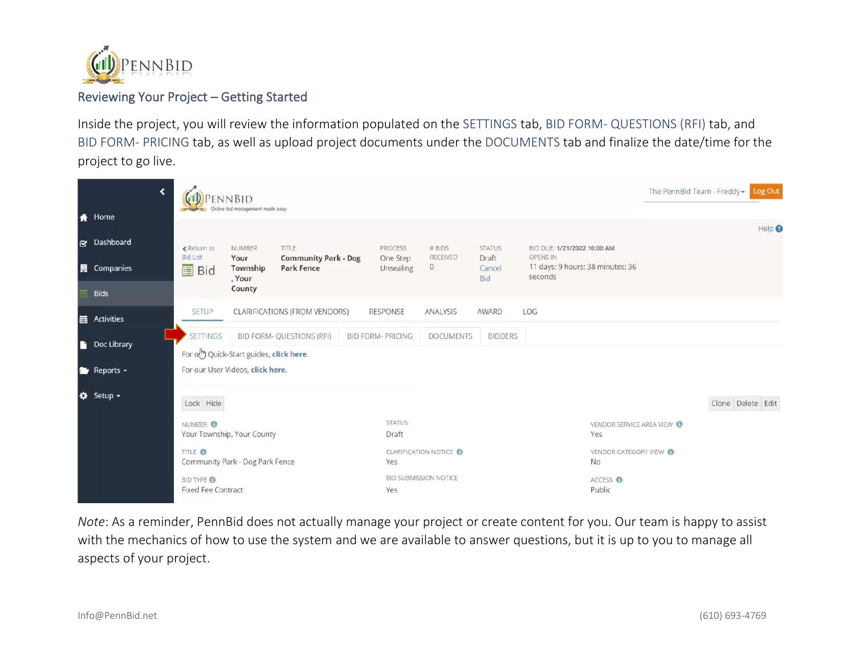

## Reviewing Your Project – Getting Started

Inside the project, you will review the information populated on the SETTINGS tab, BID FORM- QUESTIONS (RFI) tab, and BID FORM- PRICING tab, as well as upload project documents under the DOCUMENTS tab and finalize the date/time for the project to go live.

|   | ⊀                                     |                                                | <b>ENNBID</b><br>Online bid management made easy |                                                  |                          |                             |                        |                                             |                                     | The PennBid Team - Freddy $\bullet$ |                   | Log Out                      |
|---|---------------------------------------|------------------------------------------------|--------------------------------------------------|--------------------------------------------------|--------------------------|-----------------------------|------------------------|---------------------------------------------|-------------------------------------|-------------------------------------|-------------------|------------------------------|
|   | <del>#</del> Home                     |                                                |                                                  |                                                  |                          |                             |                        |                                             |                                     |                                     |                   | Help <sup><sup>O</sup></sup> |
|   | c Dashboard                           | ← Return to<br><b>Bid List</b>                 | <b>NUMBER</b>                                    | TITLE                                            | PROCESS                  | # BIDS<br>RECEIVED          | <b>STATUS</b>          | BID DUE: 1/21/2022 10:00 AM<br>OPENS IN     |                                     |                                     |                   |                              |
|   | <b>圓</b> Companies                    | <b>II</b> Bid                                  | Your<br>Township<br>, Your                       | <b>Community Park - Dog</b><br><b>Park Fence</b> | One Step<br>Unsealing    | $\circ$                     | Draft<br>Cancel<br>Bid | 11 days: 9 hours: 38 minutes: 36<br>seconds |                                     |                                     |                   |                              |
|   | <b>Bids</b>                           |                                                | County                                           |                                                  |                          |                             |                        |                                             |                                     |                                     |                   |                              |
|   | <b>m</b> Activities                   | SETUP                                          |                                                  | CLARIFICATIONS (FROM VENDORS)                    | <b>RESPONSE</b>          | ANALYSIS                    | AWARD                  | LOG                                         |                                     |                                     |                   |                              |
|   | Doc Library                           | <b>SETTINGS</b>                                |                                                  | <b>BID FORM- QUESTIONS (RFI)</b>                 | <b>BID FORM- PRICING</b> | <b>DOCUMENTS</b>            | <b>BIDDERS</b>         |                                             |                                     |                                     |                   |                              |
| n |                                       | For out Quick-Start guides, click here.        |                                                  |                                                  |                          |                             |                        |                                             |                                     |                                     |                   |                              |
|   | <b>Reports <math>\sim</math></b>      | For our User Videos, click here.               |                                                  |                                                  |                          |                             |                        |                                             |                                     |                                     |                   |                              |
|   | <b><math>\bigoplus</math></b> Setup ▼ | Lock Hide                                      |                                                  |                                                  |                          |                             |                        |                                             |                                     |                                     | Clone Delete Edit |                              |
|   |                                       | NUMBER O<br>Your Township, Your County         |                                                  |                                                  | <b>STATUS</b><br>Draft   |                             |                        |                                             | VENDOR SERVICE AREA VIEW<br>Yes     |                                     |                   |                              |
|   |                                       | TITLE <sup>®</sup>                             | Community Park - Dog Park Fence                  |                                                  | Yes                      | <b>CLARIFICATION NOTICE</b> |                        |                                             | VENDOR CATEGORY VIEW @<br><b>No</b> |                                     |                   |                              |
|   |                                       | <b>BID TYPE O</b><br><b>Fixed Fee Contract</b> |                                                  |                                                  | Yes                      | BID SUBMISSION NOTICE       |                        |                                             | ACCESS <sup>O</sup><br>Public       |                                     |                   |                              |

*Note*: As a reminder, PennBid does not actually manage your project or create content for you. Our team is happy to assist with the mechanics of how to use the system and we are available to answer questions, but it is up to you to manage all aspects of your project.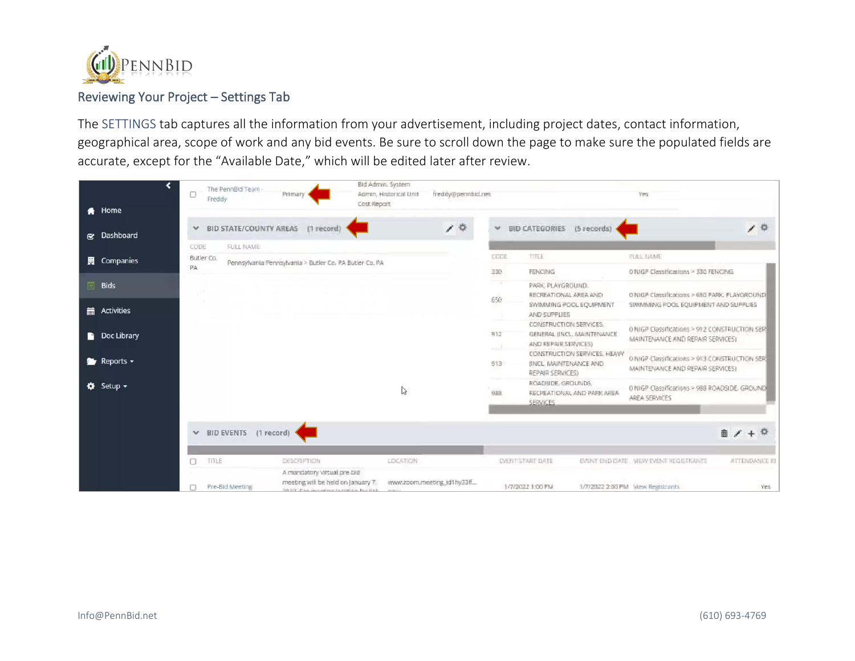

### Reviewing Your Project – Settings Tab

The SETTINGS tab captures all the information from your advertisement, including project dates, contact information, geographical area, scope of work and any bid events. Be sure to scroll down the page to make sure the populated fields are accurate, except for the "Available Date," which will be edited later after review.

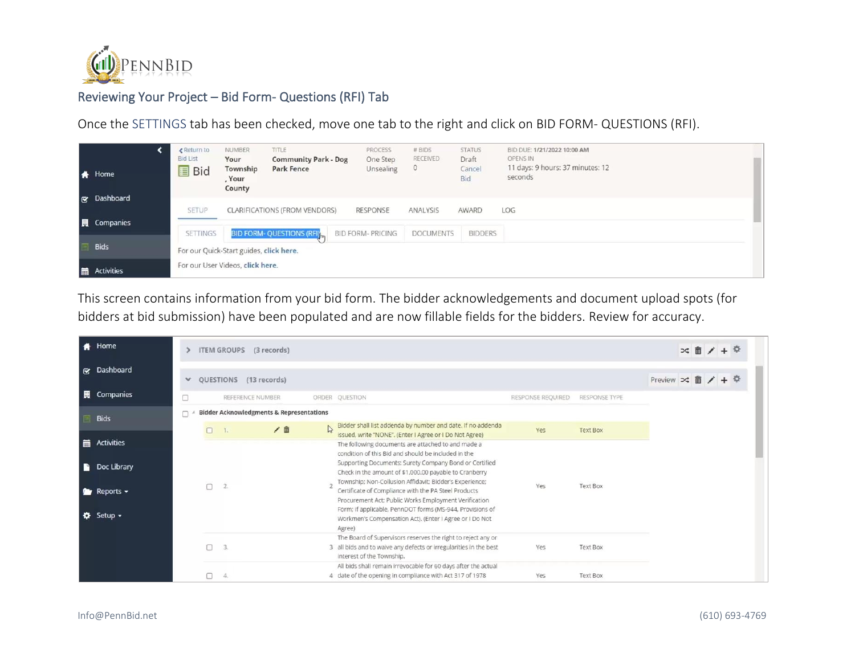

# Reviewing Your Project – Bid Form- Questions (RFI) Tab

Once the SETTINGS tab has been checked, move one tab to the right and click on BID FORM- QUESTIONS (RFI).

|   | Home<br>& Dashboard | ← Return to<br><b>Bid List</b><br><b>国</b> Bid | <b>NUMBER</b><br>Your<br>Township<br>, Your<br>County | TITLE<br><b>Community Park - Dog</b><br><b>Park Fence</b> | PROCESS<br>One Step<br>Unsealing | # BIDS<br><b>RECEIVED</b><br>$\circ$ | <b>STATUS</b><br>Draft<br>Cancel<br>Bid | BID DUE: 1/21/2022 10:00 AM<br>OPENS IN<br>11 days: 9 hours: 37 minutes: 12<br>seconds |  |
|---|---------------------|------------------------------------------------|-------------------------------------------------------|-----------------------------------------------------------|----------------------------------|--------------------------------------|-----------------------------------------|----------------------------------------------------------------------------------------|--|
|   |                     | <b>SETUP</b>                                   |                                                       | <b>CLARIFICATIONS (FROM VENDORS)</b>                      | RESPONSE                         | ANALYSIS                             | AWARD                                   | LOG                                                                                    |  |
|   | <b>图</b> Companies  | <b>SETTINGS</b>                                |                                                       | <b>BID FORM- QUESTIONS (RFI)</b>                          | <b>BID FORM- PRICING</b>         | <b>DOCUMENTS</b>                     | <b>BIDDERS</b>                          |                                                                                        |  |
|   | <b>Bids</b>         |                                                |                                                       |                                                           |                                  |                                      |                                         |                                                                                        |  |
|   |                     | For our Quick-Start guides, click here.        |                                                       |                                                           |                                  |                                      |                                         |                                                                                        |  |
| 扁 | Activities          | For our User Videos, click here.               |                                                       |                                                           |                                  |                                      |                                         |                                                                                        |  |

This screen contains information from your bid form. The bidder acknowledgements and document upload spots (for bidders at bid submission) have been populated and are now fillable fields for the bidders. Review for accuracy.

| <b>A</b> Home                                                                              |        |        |    | ITEM GROUPS (3 records)                             |                                                                                                                                                                                                                                                                                                                                                                                                                                                                                                                                             |                   |                 |                                          | ≍面 |  |  |
|--------------------------------------------------------------------------------------------|--------|--------|----|-----------------------------------------------------|---------------------------------------------------------------------------------------------------------------------------------------------------------------------------------------------------------------------------------------------------------------------------------------------------------------------------------------------------------------------------------------------------------------------------------------------------------------------------------------------------------------------------------------------|-------------------|-----------------|------------------------------------------|----|--|--|
| & Dashboard                                                                                | $\vee$ |        |    | QUESTIONS (13 records)                              |                                                                                                                                                                                                                                                                                                                                                                                                                                                                                                                                             |                   |                 | Preview $\infty$ $\hat{m}$ / + $\hat{w}$ |    |  |  |
| <b>圓</b> Companies                                                                         | □      |        |    | REFERENCE NUMBER                                    | ORDER QUESTION                                                                                                                                                                                                                                                                                                                                                                                                                                                                                                                              | RESPONSE REQUIRED | RESPONSE TYPE   |                                          |    |  |  |
| <b>Bids</b>                                                                                |        |        |    | <b>Bidder Acknowledgments &amp; Representations</b> |                                                                                                                                                                                                                                                                                                                                                                                                                                                                                                                                             |                   |                 |                                          |    |  |  |
|                                                                                            |        | $\Box$ |    | / 亩                                                 | Bidder shall list addenda by number and date. If no addenda<br>issued, write "NONE". (Enter I Agree or I Do Not Agree)                                                                                                                                                                                                                                                                                                                                                                                                                      | Yes               | <b>Text Box</b> |                                          |    |  |  |
| Activities<br>Doc Library<br><b>Reports <math>\sim</math></b><br>$\bullet$ Setup $\bullet$ |        | n      | 2. |                                                     | The following documents are attached to and made a<br>condition of this Bid and should be included in the<br>Supporting Documents: Surety Company Bond or Certified<br>Check in the amount of \$1,000.00 payable to Cranberry<br>Township: Non-Collusion Affidavit: Bidder's Experience:<br>Certificate of Compliance with the PA Steel Products<br>Procurement Act; Public Works Employment Verification<br>Form: if applicable, PennDOT forms (MS-944, Provisions of<br>Workmen's Compensation Act). (Enter I Agree or I Do Not<br>Agree) | Yes               | <b>Text Box</b> |                                          |    |  |  |
|                                                                                            |        | ∩      | 3. |                                                     | The Board of Supervisors reserves the right to reject any or<br>3 all bids and to waive any defects or irregularities in the best<br>interest of the Township.                                                                                                                                                                                                                                                                                                                                                                              | Yes               | <b>Text Box</b> |                                          |    |  |  |
|                                                                                            |        |        |    |                                                     | All bids shall remain irrevocable for 60 days after the actual<br>4 date of the opening in compliance with Act 317 of 1978                                                                                                                                                                                                                                                                                                                                                                                                                  | Yes               | <b>Text Box</b> |                                          |    |  |  |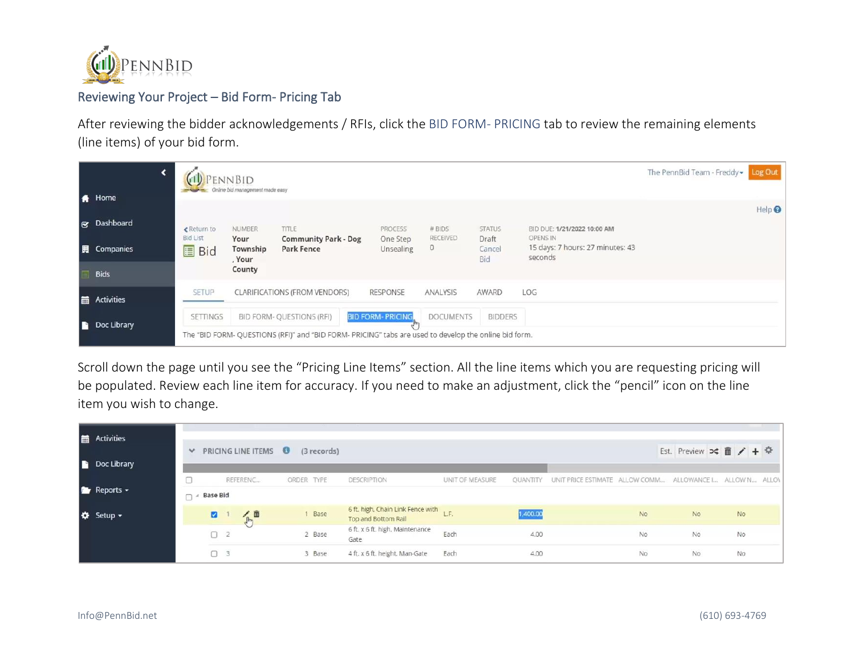

# Reviewing Your Project – Bid Form- Pricing Tab

After reviewing the bidder acknowledgements / RFIs, click the BID FORM- PRICING tab to review the remaining elements (line items) of your bid form.

|    | <b>A</b> Home      |                                 | <b>ENNBID</b><br>Online bid management made easy |                                                                                                       |                         |                     |                        |                                                                | The PennBid Team - Freddy - | Log Out                      |
|----|--------------------|---------------------------------|--------------------------------------------------|-------------------------------------------------------------------------------------------------------|-------------------------|---------------------|------------------------|----------------------------------------------------------------|-----------------------------|------------------------------|
|    |                    |                                 |                                                  |                                                                                                       |                         |                     |                        |                                                                |                             | Help <sup><sup>O</sup></sup> |
|    | & Dashboard        | ← Return to                     | NUMBER                                           | TITLE                                                                                                 | PROCESS                 | # BIDS              | <b>STATUS</b>          | BID DUE: 1/21/2022 10:00 AM                                    |                             |                              |
|    | <b>圓</b> Companies | <b>Bid List</b><br><b>国</b> Bid | Your<br>Township<br>, Your                       | <b>Community Park - Dog</b><br><b>Park Fence</b>                                                      | One Step<br>Unsealing   | RECEIVED<br>$\circ$ | Draft<br>Cancel<br>Bid | <b>OPENS IN</b><br>15 days: 7 hours: 27 minutes: 43<br>seconds |                             |                              |
|    | <b>Bids</b>        |                                 | County                                           |                                                                                                       |                         |                     |                        |                                                                |                             |                              |
|    | <b>Activities</b>  | <b>SETUP</b>                    |                                                  | <b>CLARIFICATIONS (FROM VENDORS)</b>                                                                  | <b>RESPONSE</b>         | ANALYSIS            | AWARD                  | LOG                                                            |                             |                              |
|    |                    | <b>SETTINGS</b>                 |                                                  | <b>BID FORM- QUESTIONS (RFI)</b>                                                                      | <b>BID FORM-PRICING</b> | <b>DOCUMENTS</b>    | <b>BIDDERS</b>         |                                                                |                             |                              |
| P. | Doc Library        |                                 |                                                  | The "BID FORM- QUESTIONS (RFI)" and "BID FORM- PRICING" tabs are used to develop the online bid form. |                         |                     |                        |                                                                |                             |                              |

Scroll down the page until you see the "Pricing Line Items" section. All the line items which you are requesting pricing will be populated. Review each line item for accuracy. If you need to make an adjustment, click the "pencil" icon on the line item you wish to change.

|   | Activities              |            |                 | $\vee$ PRICING LINE ITEMS $\Theta$ | (3 records) |                                                               |                 |          |                                                                   |           | Est. Preview $\infty$ $\hat{m}$ / + $\hat{w}$ |           |  |
|---|-------------------------|------------|-----------------|------------------------------------|-------------|---------------------------------------------------------------|-----------------|----------|-------------------------------------------------------------------|-----------|-----------------------------------------------|-----------|--|
| n | Doc Library             |            |                 |                                    |             |                                                               |                 |          |                                                                   |           |                                               |           |  |
|   | <b>P</b> Reports $\sim$ | $\Box$ $A$ | <b>Base Bid</b> | REFERENC                           | ORDER TYPE  | DESCRIPTION                                                   | UNIT OF MEASURE |          | QUANTITY UNIT PRICE ESTIMATE ALLOW COMM ALLOWANCE I ALLOW N ALLON |           |                                               |           |  |
|   | <b>☆</b> Setup -        |            | ø               | 人血                                 | 1 Base      | 6 ft. high, Chain Link Fence with L.F.<br>Top and Bottom Rail |                 | 1,400.00 |                                                                   | <b>No</b> | <b>No</b>                                     | <b>No</b> |  |
|   |                         |            | $\Box$ 2        |                                    | 2 Base      | 6 ft. x 6 ft. high, Maintenance<br>Gate                       | Each            | 4.00     |                                                                   | <b>No</b> | <b>No</b>                                     | <b>No</b> |  |
|   |                         |            | $\Box$ 3        |                                    | 3 Base      | 4 ft, x 6 ft, height, Man-Gate                                | Each            | 4.00     |                                                                   | <b>No</b> | <b>No</b>                                     | <b>No</b> |  |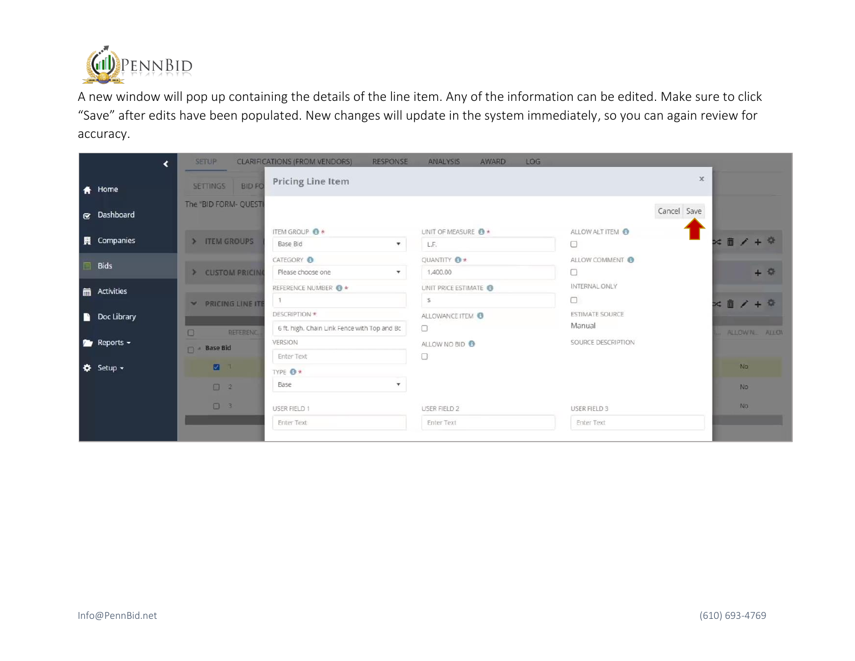

A new window will pop up containing the details of the line item. Any of the information can be edited. Make sure to click "Save" after edits have been populated. New changes will update in the system immediately, so you can again review for accuracy.

| ∢                                             | <b>SETUP</b>                    | <b>CLARIFICATIONS (FROM VENDORS)</b><br><b>RESPONSE</b>       | <b>ANALYSIS</b><br><b>AWARD</b><br>LOG |                                  |                                          |
|-----------------------------------------------|---------------------------------|---------------------------------------------------------------|----------------------------------------|----------------------------------|------------------------------------------|
| <del>A</del> Home                             | <b>BIDFO</b><br><b>SETTINGS</b> | <b>Pricing Line Item</b>                                      |                                        | $\times$                         |                                          |
| Se Dashboard                                  | The "BID FORM- QUESTI           |                                                               |                                        | Cancel Save                      |                                          |
| <b>圓</b> Companies                            | > ITEM GROUPS                   | ITEM GROUP O*<br>Base Bid<br>$\overline{\mathbf{v}}$          | UNIT OF MEASURE <b>8</b> *<br>L.F.     | ALLOW ALT ITEM @<br>$\Box$       | $\times$ $#$ / +                         |
| <b>Bids</b>                                   | > CUSTOM PRICIN                 | CATEGORY O<br>Please choose one<br>$\mathbf{v}$               | QUANTITY <b>O</b> *<br>1,400.00        | ALLOW COMMENT<br>0               | $+$ $\Phi$                               |
| Activities                                    | PRICING LINE ITE                | REFERENCE NUMBER O *                                          | UNIT PRICE ESTIMATE<br>s               | INTERNAL ONLY<br>0               | $\times$ $\frac{1}{2}$ / + $\frac{1}{2}$ |
| Doc Library                                   | $\Box$<br><b>REFERENC</b>       | DESCRIPTION *<br>6 ft. high. Chain Link Fence with Top and Bc | ALLOWANCE ITEM O<br>0                  | <b>ESTIMATE SOURCE</b><br>Manual | ALLOWN. ALLON                            |
| $R$ Reports $\sim$                            | Base Bid                        | <b>VERSION</b><br><b>Enter Text</b>                           | ALLOW NO BID <sup>O</sup><br>0         | SOURCE DESCRIPTION               |                                          |
| $\ddot{\mathbf{Q}}$ Setup $\ddot{\mathbf{v}}$ | ■ 1                             | TYPE <b>O</b> *                                               |                                        |                                  | No:                                      |
|                                               | $\Box$ 2                        | Base<br>$\pmb{\mathrm{v}}$                                    |                                        |                                  | No.                                      |
|                                               | $\Box$ 3                        | USER FIELD 1                                                  | <b>USER FIELD 2</b>                    | USER FIELD 3                     | No                                       |
|                                               |                                 | <b>Enter Text</b>                                             | <b>Enter Text</b>                      | <b>Enter Text</b>                |                                          |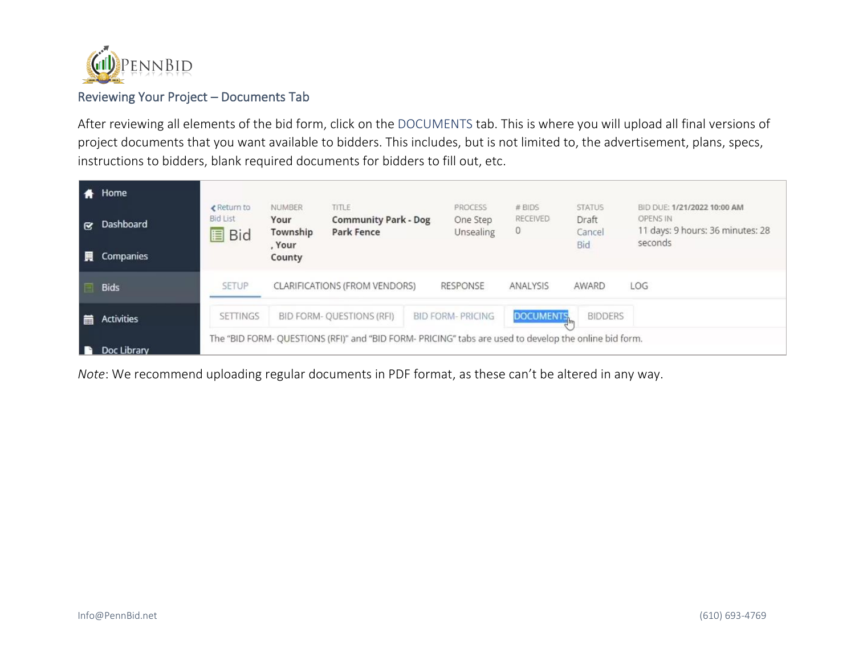

## Reviewing Your Project – Documents Tab

After reviewing all elements of the bid form, click on the DOCUMENTS tab. This is where you will upload all final versions of project documents that you want available to bidders. This includes, but is not limited to, the advertisement, plans, specs, instructions to bidders, blank required documents for bidders to fill out, etc.

|                      | Home              |                                                |                                             |                                                                                                       |                                  |                                |                                         |                                                                                        |
|----------------------|-------------------|------------------------------------------------|---------------------------------------------|-------------------------------------------------------------------------------------------------------|----------------------------------|--------------------------------|-----------------------------------------|----------------------------------------------------------------------------------------|
| $\tilde{\mathbf{z}}$ | Dashboard         | ← Return to<br><b>Bid List</b><br><b>圖 Bid</b> | <b>NUMBER</b><br>Your<br>Township<br>, Your | <b>TITLE</b><br><b>Community Park - Dog</b><br><b>Park Fence</b>                                      | PROCESS<br>One Step<br>Unsealing | # BIDS<br><b>RECEIVED</b><br>0 | <b>STATUS</b><br>Draft<br>Cancel<br>Bid | BID DUE: 1/21/2022 10:00 AM<br>OPENS IN<br>11 days: 9 hours: 36 minutes: 28<br>seconds |
| 圜                    | Companies         |                                                | County                                      |                                                                                                       |                                  |                                |                                         |                                                                                        |
|                      | <b>Bids</b>       | <b>SETUP</b>                                   |                                             | <b>CLARIFICATIONS (FROM VENDORS)</b>                                                                  | <b>RESPONSE</b>                  | ANALYSIS                       | AWARD                                   | LOG                                                                                    |
| 亩                    | <b>Activities</b> | <b>SETTINGS</b>                                |                                             | BID FORM- QUESTIONS (RFI)                                                                             | <b>BID FORM-PRICING</b>          | <b>DOCUMENTS</b>               | <b>BIDDERS</b>                          |                                                                                        |
|                      | Doc Library       |                                                |                                             | The "BID FORM- QUESTIONS (RFI)" and "BID FORM- PRICING" tabs are used to develop the online bid form. |                                  |                                |                                         |                                                                                        |

*Note*: We recommend uploading regular documents in PDF format, as these can't be altered in any way.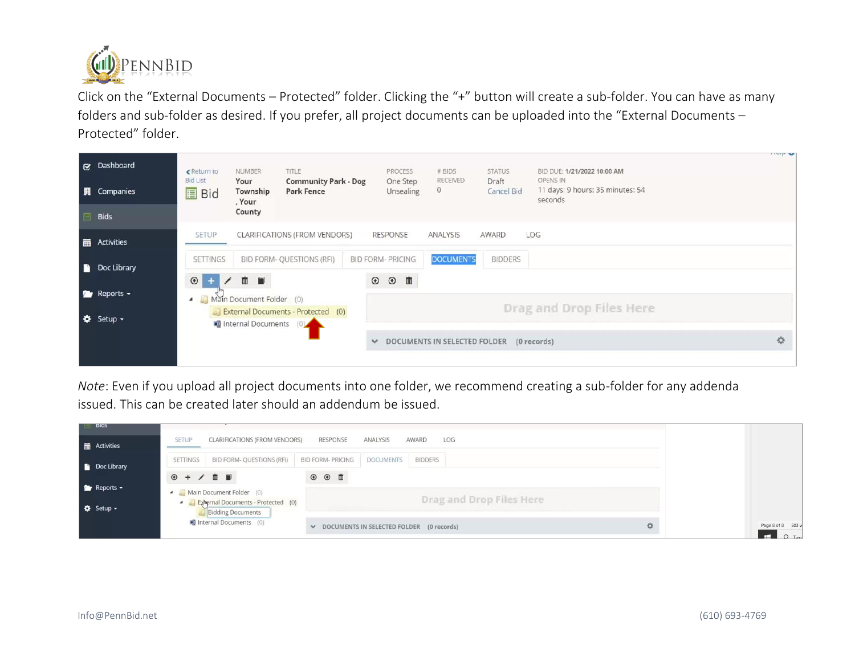

Click on the "External Documents – Protected" folder. Clicking the "+" button will create a sub-folder. You can have as many folders and sub-folder as desired. If you prefer, all project documents can be uploaded into the "External Documents – Protected" folder.



*Note*: Even if you upload all project documents into one folder, we recommend creating a sub-folder for any addenda issued. This can be created later should an addendum be issued.

| <b>BIOS</b>      | CLARIFICATIONS (FROM VENDORS)<br><b>SETUP</b>                           | <b>RESPONSE</b><br>ANALYSIS                  | AWARD<br>LOG             |                              |
|------------------|-------------------------------------------------------------------------|----------------------------------------------|--------------------------|------------------------------|
| Activities       |                                                                         |                                              |                          |                              |
| Doc Library      | <b>BID FORM- QUESTIONS (RFI)</b><br><b>SETTINGS</b>                     | <b>BID FORM- PRICING</b><br><b>DOCUMENTS</b> | <b>BIDDERS</b>           |                              |
| <b>Reports -</b> | $\odot + / \cdots$                                                      | $\circ$ $\circ$ $\bullet$                    |                          |                              |
|                  | A <b>Nain Document Folder</b> (0)<br>External Documents - Protected (0) |                                              | Drag and Drop Files Here |                              |
| <b>☆</b> Setup - | <b>Bidding Documents</b>                                                |                                              |                          |                              |
|                  | Internal Documents (0)                                                  | DOCUMENTS IN SELECTED FOLDER (0 records)     |                          | Page 8 of 8 503 w<br>$Q$ Tyn |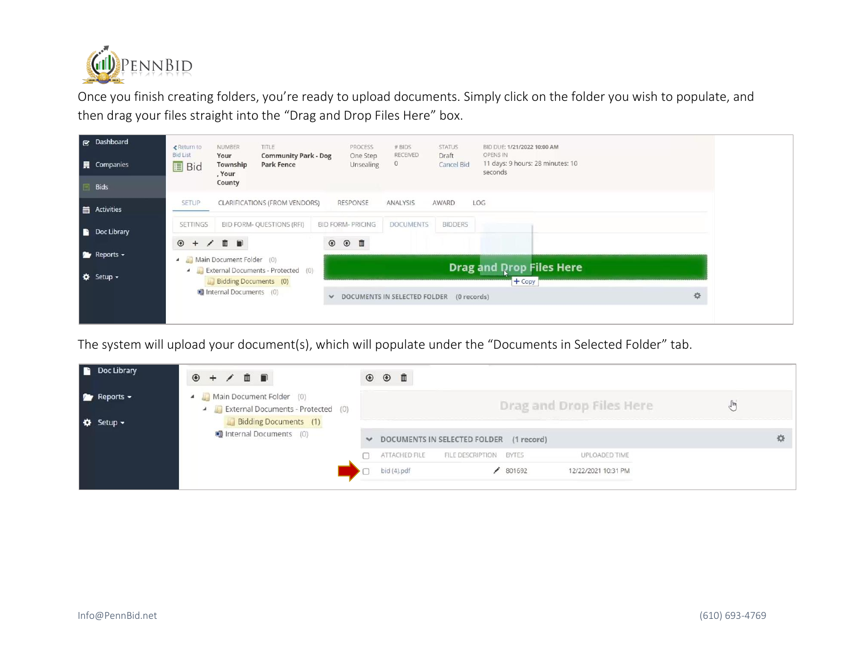

Once you finish creating folders, you're ready to upload documents. Simply click on the folder you wish to populate, and then drag your files straight into the "Drag and Drop Files Here" box.

| & Dashboard<br><b>圓</b> Companies | ← Return to<br><b>Bid List</b><br><b>国</b> Bid | <b>NUMBER</b><br>Your<br>Township<br>, Your<br>County | TITLE<br><b>Community Park - Dog</b><br><b>Park Fence</b> | PROCESS<br>One Step<br>Unsealing | # BIDS<br>RECEIVED<br>$\circ$            | <b>STATUS</b><br>Draft<br>Cancel Bid | BID DUE: 1/21/2022 10:00 AM<br>OPENS IN<br>11 days: 9 hours: 28 minutes: 10<br>seconds |   |
|-----------------------------------|------------------------------------------------|-------------------------------------------------------|-----------------------------------------------------------|----------------------------------|------------------------------------------|--------------------------------------|----------------------------------------------------------------------------------------|---|
| <b>Bids</b>                       | <b>SETUP</b>                                   |                                                       |                                                           | RESPONSE                         | ANALYSIS                                 | AWARD                                | LOG                                                                                    |   |
| Activities                        |                                                |                                                       | <b>CLARIFICATIONS (FROM VENDORS)</b>                      |                                  |                                          |                                      |                                                                                        |   |
| Doc Library                       | <b>SETTINGS</b>                                |                                                       | BID FORM- QUESTIONS (RFI)                                 | <b>BID FORM- PRICING</b>         | <b>DOCUMENTS</b>                         | <b>BIDDERS</b>                       |                                                                                        |   |
| $\bullet$ Reports $\bullet$       | $\odot + / \cdots$                             | 4 Main Document Folder (0)                            |                                                           | $\circ$ $\circ$ $\Box$           |                                          |                                      |                                                                                        |   |
| ☆ Setup -                         |                                                | Bidding Documents (0)                                 | External Documents - Protected (0)                        |                                  |                                          |                                      | <b>Drag and Drop Files Here</b>                                                        |   |
|                                   |                                                | internal Documents (0)                                |                                                           | $\checkmark$                     | DOCUMENTS IN SELECTED FOLDER (0 records) |                                      | $+$ Copy                                                                               | 收 |
|                                   |                                                |                                                       |                                                           |                                  |                                          |                                      |                                                                                        |   |

The system will upload your document(s), which will populate under the "Documents in Selected Folder" tab.

| Doc Library                            | $+$ / $+$ 0<br>$\circledast$                                                                     | $\circ$ $\circ$ $\bullet$                                          |  |
|----------------------------------------|--------------------------------------------------------------------------------------------------|--------------------------------------------------------------------|--|
| $P$ Reports $\sim$<br><b>☆</b> Setup – | A Main Document Folder (0)<br>External Documents - Protected (0)<br><b>Bidding Documents</b> (1) | Drag and Drop Files Here                                           |  |
|                                        | Internal Documents (0)                                                                           | DOCUMENTS IN SELECTED FOLDER (1 record)                            |  |
|                                        |                                                                                                  | ATTACHED FILE<br>FILE DESCRIPTION<br>UPLOADED TIME<br><b>BYTES</b> |  |
|                                        |                                                                                                  | bid (4).pdf<br>801692<br>12/22/2021 10:31 PM                       |  |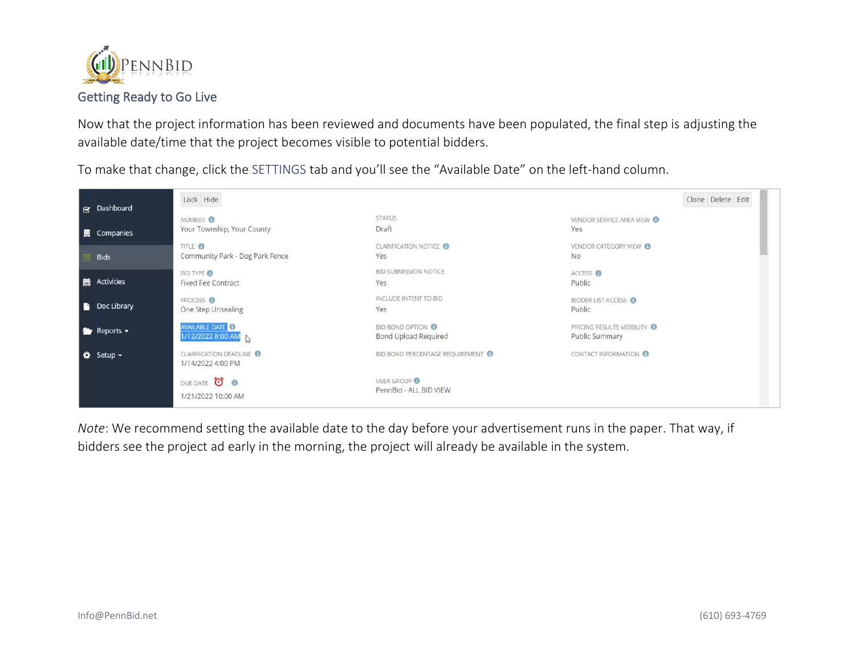

# Getting Ready to Go Live

Now that the project information has been reviewed and documents have been populated, the final step is adjusting the available date/time that the project becomes visible to potential bidders.

To make that change, click the SETTINGS tab and you'll see the "Available Date" on the left-hand column.



*Note*: We recommend setting the available date to the day before your advertisement runs in the paper. That way, if bidders see the project ad early in the morning, the project will already be available in the system.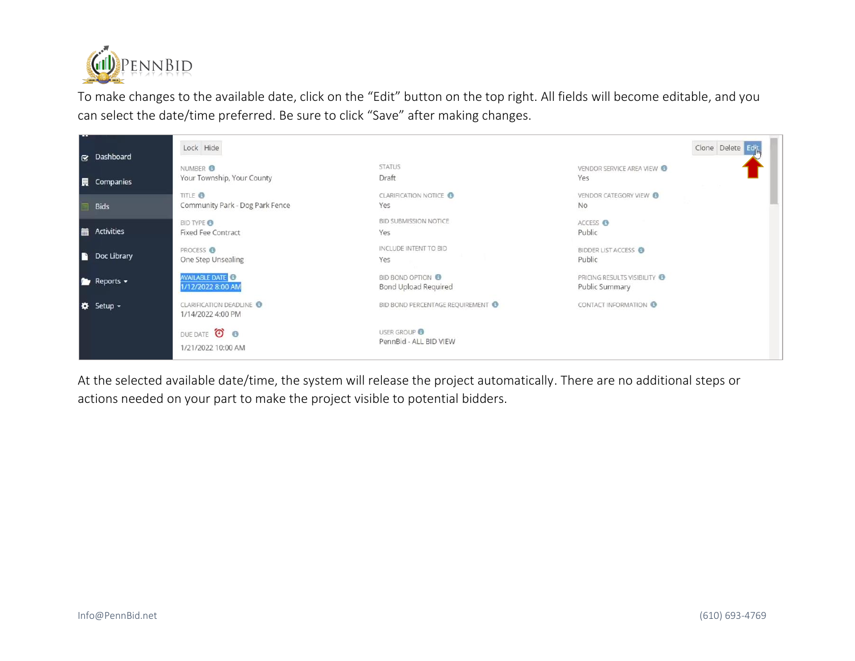

To make changes to the available date, click on the "Edit" button on the top right. All fields will become editable, and you can select the date/time preferred. Be sure to click "Save" after making changes.

| & Dashboard        | Lock Hide                                             |                                                  | Clone Delete Edit                              |
|--------------------|-------------------------------------------------------|--------------------------------------------------|------------------------------------------------|
| <b>圓</b> Companies | NUMBER <sup>3</sup><br>Your Township, Your County     | <b>STATUS</b><br>Draft                           | VENDOR SERVICE AREA VIEW<br>Yes                |
| <b>Bids</b>        | TITLE <sup>®</sup><br>Community Park - Dog Park Fence | <b>CLARIFICATION NOTICE</b><br>Yes               | VENDOR CATEGORY VIEW<br>No                     |
| Activities         | <b>BID TYPE O</b><br><b>Fixed Fee Contract</b>        | <b>BID SUBMISSION NOTICE</b><br>Yes              | ACCESS <sup>O</sup><br>Public                  |
| Doc Library        | PROCESS O<br>One Step Unsealing                       | INCLUDE INTENT TO BID<br>Yes                     | <b>BIDDER LIST ACCESS</b><br>Public            |
| <b>P</b> Reports - | <b>AVAILABLE DATE</b><br>1/12/2022 8:00 AM            | <b>BID BOND OPTION O</b><br>Bond Upload Required | PRICING RESULTS VISIBILITY O<br>Public Summary |
| ☆ Setup -          | <b>CLARIFICATION DEADLINE</b><br>1/14/2022 4:00 PM    | BID BOND PERCENTAGE REQUIREMENT                  | CONTACT INFORMATION O                          |
|                    | DUE DATE O O<br>1/21/2022 10:00 AM                    | <b>USER GROUP</b><br>PennBid - ALL BID VIEW      |                                                |

At the selected available date/time, the system will release the project automatically. There are no additional steps or actions needed on your part to make the project visible to potential bidders.